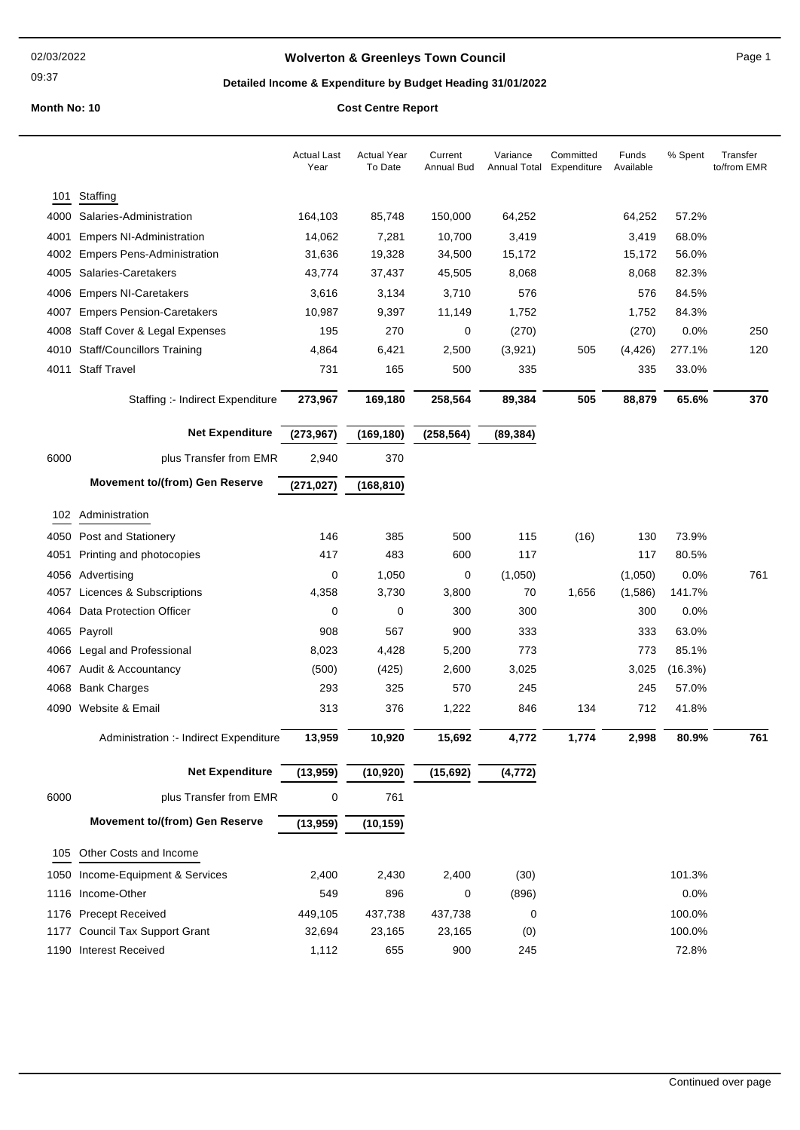09:37

## **Wolverton & Greenleys Town Council Page 1** Page 1

## **Detailed Income & Expenditure by Budget Heading 31/01/2022**

|      |                                                         | <b>Actual Last</b><br>Year | <b>Actual Year</b><br>To Date | Current<br>Annual Bud | Variance<br><b>Annual Total</b> | Committed<br>Expenditure | Funds<br>Available | % Spent          | Transfer<br>to/from EMR |
|------|---------------------------------------------------------|----------------------------|-------------------------------|-----------------------|---------------------------------|--------------------------|--------------------|------------------|-------------------------|
| 101  | Staffing                                                |                            |                               |                       |                                 |                          |                    |                  |                         |
|      | 4000 Salaries-Administration                            | 164,103                    | 85,748                        | 150,000               | 64,252                          |                          | 64,252             | 57.2%            |                         |
| 4001 | <b>Empers NI-Administration</b>                         | 14,062                     | 7,281                         | 10,700                | 3,419                           |                          | 3,419              | 68.0%            |                         |
| 4002 | <b>Empers Pens-Administration</b>                       | 31,636                     | 19,328                        | 34,500                | 15,172                          |                          | 15,172             | 56.0%            |                         |
|      | 4005 Salaries-Caretakers                                | 43,774                     | 37,437                        | 45,505                | 8,068                           |                          | 8,068              | 82.3%            |                         |
|      | 4006 Empers NI-Caretakers                               | 3,616                      | 3,134                         | 3,710                 | 576                             |                          | 576                | 84.5%            |                         |
| 4007 | <b>Empers Pension-Caretakers</b>                        | 10,987                     | 9,397                         | 11,149                | 1,752                           |                          | 1,752              | 84.3%            |                         |
|      | 4008 Staff Cover & Legal Expenses                       | 195                        | 270                           | 0                     | (270)                           |                          | (270)              | 0.0%             | 250                     |
|      | 4010 Staff/Councillors Training                         | 4,864                      | 6,421                         | 2,500                 | (3,921)                         | 505                      | (4, 426)           | 277.1%           | 120                     |
|      | 4011 Staff Travel                                       | 731                        | 165                           | 500                   | 335                             |                          | 335                | 33.0%            |                         |
|      | Staffing :- Indirect Expenditure                        | 273,967                    | 169,180                       | 258,564               | 89,384                          | 505                      | 88,879             | 65.6%            | 370                     |
|      | <b>Net Expenditure</b>                                  | (273, 967)                 |                               |                       |                                 |                          |                    |                  |                         |
|      |                                                         |                            | (169, 180)                    | (258, 564)            | (89, 384)                       |                          |                    |                  |                         |
| 6000 | plus Transfer from EMR                                  | 2,940                      | 370                           |                       |                                 |                          |                    |                  |                         |
|      | <b>Movement to/(from) Gen Reserve</b>                   | (271, 027)                 | (168, 810)                    |                       |                                 |                          |                    |                  |                         |
|      | 102 Administration                                      |                            |                               |                       |                                 |                          |                    |                  |                         |
|      | 4050 Post and Stationery                                | 146                        | 385                           | 500                   | 115                             | (16)                     | 130                | 73.9%            |                         |
| 4051 | Printing and photocopies                                | 417                        | 483                           | 600                   | 117                             |                          | 117                | 80.5%            |                         |
|      | 4056 Advertising                                        | 0                          | 1,050                         | 0                     | (1,050)                         |                          | (1,050)            | 0.0%             | 761                     |
|      | 4057 Licences & Subscriptions                           | 4,358                      | 3,730                         | 3,800                 | 70                              | 1,656                    | (1,586)            | 141.7%           |                         |
|      | 4064 Data Protection Officer                            | 0                          | 0                             | 300                   | 300                             |                          | 300                | 0.0%             |                         |
|      | 4065 Payroll                                            | 908                        | 567                           | 900                   | 333                             |                          | 333                | 63.0%            |                         |
|      | 4066 Legal and Professional                             | 8,023                      | 4,428                         | 5,200                 | 773                             |                          | 773                | 85.1%            |                         |
|      | 4067 Audit & Accountancy                                | (500)                      | (425)                         | 2,600                 | 3,025                           |                          | 3,025              | (16.3%)          |                         |
|      | 4068 Bank Charges                                       | 293                        | 325                           | 570                   | 245                             |                          | 245                | 57.0%            |                         |
|      | 4090 Website & Email                                    | 313                        | 376                           | 1,222                 | 846                             | 134                      | 712                | 41.8%            |                         |
|      | Administration :- Indirect Expenditure                  | 13,959                     | 10,920                        | 15,692                | 4,772                           | 1,774                    | 2,998              | 80.9%            | 761                     |
|      | <b>Net Expenditure</b>                                  | (13,959)                   | (10, 920)                     | (15, 692)             | (4, 772)                        |                          |                    |                  |                         |
| 6000 | plus Transfer from EMR                                  | 0                          | 761                           |                       |                                 |                          |                    |                  |                         |
|      | <b>Movement to/(from) Gen Reserve</b>                   | (13,959)                   | (10, 159)                     |                       |                                 |                          |                    |                  |                         |
|      | Other Costs and Income                                  |                            |                               |                       |                                 |                          |                    |                  |                         |
| 105  |                                                         |                            |                               |                       |                                 |                          |                    |                  |                         |
|      | 1050 Income-Equipment & Services                        | 2,400                      | 2,430                         | 2,400                 | (30)                            |                          |                    | 101.3%           |                         |
|      | 1116 Income-Other                                       | 549                        | 896                           | 0                     | (896)                           |                          |                    | 0.0%             |                         |
|      | 1176 Precept Received<br>1177 Council Tax Support Grant | 449,105<br>32,694          | 437,738<br>23,165             | 437,738<br>23,165     | 0                               |                          |                    | 100.0%<br>100.0% |                         |
|      | 1190 Interest Received                                  | 1,112                      | 655                           | 900                   | (0)<br>245                      |                          |                    | 72.8%            |                         |
|      |                                                         |                            |                               |                       |                                 |                          |                    |                  |                         |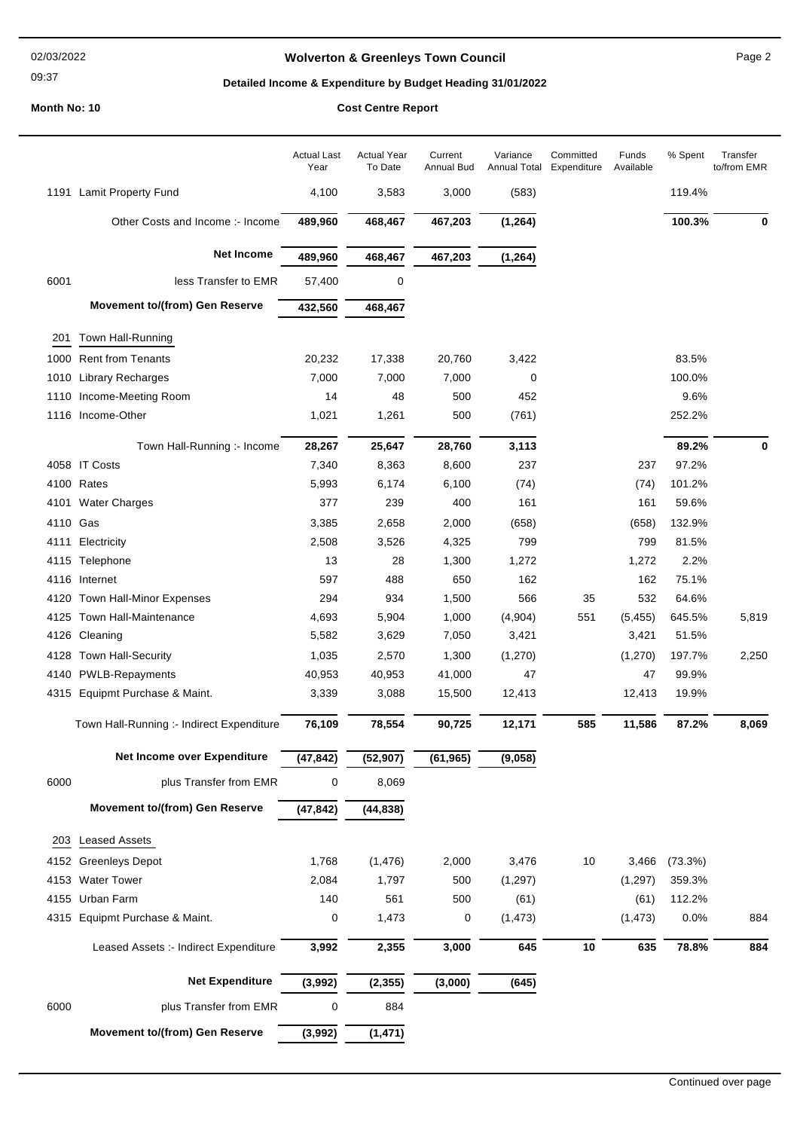### 02/03/2022

## 09:37

## **Wolverton & Greenleys Town Council** Magness Council Page 2

## **Detailed Income & Expenditure by Budget Heading 31/01/2022**

|          |                                           | <b>Actual Last</b><br>Year | <b>Actual Year</b><br>To Date | Current<br>Annual Bud | Variance<br>Annual Total | Committed<br>Expenditure | Funds<br>Available | % Spent       | Transfer<br>to/from EMR |
|----------|-------------------------------------------|----------------------------|-------------------------------|-----------------------|--------------------------|--------------------------|--------------------|---------------|-------------------------|
|          | 1191 Lamit Property Fund                  | 4,100                      | 3,583                         | 3,000                 | (583)                    |                          |                    | 119.4%        |                         |
|          | Other Costs and Income :- Income          | 489,960                    | 468,467                       | 467,203               | (1, 264)                 |                          |                    | 100.3%        | 0                       |
|          | <b>Net Income</b>                         | 489,960                    | 468,467                       | 467,203               | (1, 264)                 |                          |                    |               |                         |
| 6001     | less Transfer to EMR                      | 57,400                     | 0                             |                       |                          |                          |                    |               |                         |
|          | <b>Movement to/(from) Gen Reserve</b>     | 432,560                    | 468,467                       |                       |                          |                          |                    |               |                         |
| 201      | Town Hall-Running                         |                            |                               |                       |                          |                          |                    |               |                         |
|          | 1000 Rent from Tenants                    | 20,232                     | 17,338                        | 20,760                | 3,422                    |                          |                    | 83.5%         |                         |
| 1010     | <b>Library Recharges</b>                  | 7,000                      | 7,000                         | 7,000                 | 0                        |                          |                    | 100.0%        |                         |
|          | 1110 Income-Meeting Room                  | 14                         | 48                            | 500                   | 452                      |                          |                    | 9.6%          |                         |
|          | 1116 Income-Other                         | 1,021                      | 1,261                         | 500                   | (761)                    |                          |                    | 252.2%        |                         |
|          |                                           |                            |                               |                       |                          |                          |                    |               |                         |
|          | Town Hall-Running :- Income               | 28,267                     | 25,647                        | 28,760                | 3,113                    |                          |                    | 89.2%         | $\mathbf 0$             |
|          | 4058 IT Costs                             | 7,340                      | 8,363                         | 8,600                 | 237                      |                          | 237                | 97.2%         |                         |
|          | 4100 Rates                                | 5,993                      | 6,174                         | 6,100                 | (74)                     |                          | (74)               | 101.2%        |                         |
|          | 4101 Water Charges                        | 377                        | 239                           | 400                   | 161                      |                          | 161                | 59.6%         |                         |
| 4110 Gas |                                           | 3,385                      | 2,658                         | 2,000                 | (658)                    |                          | (658)              | 132.9%        |                         |
| 4111     | Electricity                               | 2,508                      | 3,526                         | 4,325                 | 799                      |                          | 799                | 81.5%         |                         |
|          | 4115 Telephone<br>4116 Internet           | 13<br>597                  | 28<br>488                     | 1,300<br>650          | 1,272<br>162             |                          | 1,272<br>162       | 2.2%<br>75.1% |                         |
| 4120     | Town Hall-Minor Expenses                  | 294                        | 934                           | 1,500                 | 566                      | 35                       | 532                | 64.6%         |                         |
| 4125     | Town Hall-Maintenance                     | 4,693                      | 5,904                         | 1,000                 | (4,904)                  | 551                      | (5, 455)           | 645.5%        | 5,819                   |
|          | 4126 Cleaning                             | 5,582                      | 3,629                         | 7,050                 | 3,421                    |                          | 3,421              | 51.5%         |                         |
|          | 4128 Town Hall-Security                   | 1,035                      | 2,570                         | 1,300                 | (1, 270)                 |                          | (1,270)            | 197.7%        | 2,250                   |
| 4140     | <b>PWLB-Repayments</b>                    | 40,953                     | 40,953                        | 41,000                | 47                       |                          | 47                 | 99.9%         |                         |
|          | 4315 Equipmt Purchase & Maint.            | 3,339                      | 3,088                         | 15,500                | 12,413                   |                          | 12,413             | 19.9%         |                         |
|          |                                           |                            |                               |                       |                          |                          |                    |               |                         |
|          | Town Hall-Running :- Indirect Expenditure | 76,109                     | 78,554                        | 90,725                | 12,171                   | 585                      | 11,586             | 87.2%         | 8,069                   |
|          | Net Income over Expenditure               | (47, 842)                  | (52, 907)                     | (61, 965)             | (9,058)                  |                          |                    |               |                         |
| 6000     | plus Transfer from EMR                    | 0                          | 8,069                         |                       |                          |                          |                    |               |                         |
|          | <b>Movement to/(from) Gen Reserve</b>     | (47, 842)                  | (44, 838)                     |                       |                          |                          |                    |               |                         |
| 203      | <b>Leased Assets</b>                      |                            |                               |                       |                          |                          |                    |               |                         |
|          | 4152 Greenleys Depot                      | 1,768                      | (1, 476)                      | 2,000                 | 3,476                    | 10                       | 3,466              | (73.3%)       |                         |
|          | 4153 Water Tower                          | 2,084                      | 1,797                         | 500                   | (1, 297)                 |                          | (1, 297)           | 359.3%        |                         |
|          | 4155 Urban Farm                           | 140                        | 561                           | 500                   | (61)                     |                          | (61)               | 112.2%        |                         |
|          | 4315 Equipmt Purchase & Maint.            | 0                          | 1,473                         | 0                     | (1, 473)                 |                          | (1, 473)           | 0.0%          | 884                     |
|          |                                           |                            |                               |                       |                          |                          |                    |               |                         |
|          | Leased Assets :- Indirect Expenditure     | 3,992                      | 2,355                         | 3,000                 | 645                      | 10                       | 635                | 78.8%         | 884                     |
|          | <b>Net Expenditure</b>                    | (3,992)                    | (2, 355)                      | (3,000)               | (645)                    |                          |                    |               |                         |
| 6000     | plus Transfer from EMR                    | 0                          | 884                           |                       |                          |                          |                    |               |                         |
|          | <b>Movement to/(from) Gen Reserve</b>     | (3,992)                    | (1, 471)                      |                       |                          |                          |                    |               |                         |
|          |                                           |                            |                               |                       |                          |                          |                    |               |                         |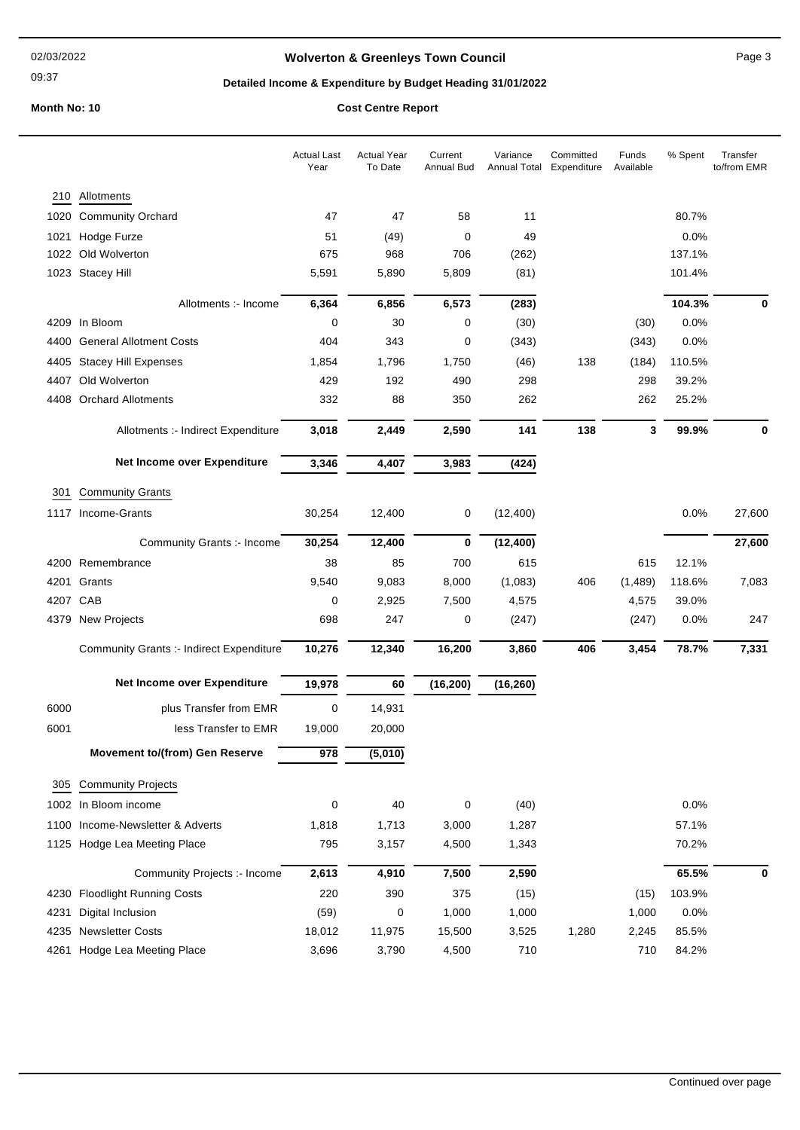09:37

## **Wolverton & Greenleys Town Council** Magness Council Page 3

## **Detailed Income & Expenditure by Budget Heading 31/01/2022**

|          |                                          | <b>Actual Last</b><br>Year | <b>Actual Year</b><br>To Date | Current<br><b>Annual Bud</b> | Variance<br>Annual Total | Committed<br>Expenditure | Funds<br>Available | % Spent | Transfer<br>to/from EMR |
|----------|------------------------------------------|----------------------------|-------------------------------|------------------------------|--------------------------|--------------------------|--------------------|---------|-------------------------|
|          | 210 Allotments                           |                            |                               |                              |                          |                          |                    |         |                         |
| 1020     | <b>Community Orchard</b>                 | 47                         | 47                            | 58                           | 11                       |                          |                    | 80.7%   |                         |
| 1021     | Hodge Furze                              | 51                         | (49)                          | 0                            | 49                       |                          |                    | 0.0%    |                         |
|          | 1022 Old Wolverton                       | 675                        | 968                           | 706                          | (262)                    |                          |                    | 137.1%  |                         |
|          | 1023 Stacey Hill                         | 5,591                      | 5,890                         | 5,809                        | (81)                     |                          |                    | 101.4%  |                         |
|          | Allotments :- Income                     | 6,364                      | 6,856                         | 6,573                        | (283)                    |                          |                    | 104.3%  | 0                       |
|          | 4209 In Bloom                            | 0                          | 30                            | 0                            | (30)                     |                          | (30)               | 0.0%    |                         |
| 4400     | <b>General Allotment Costs</b>           | 404                        | 343                           | 0                            | (343)                    |                          | (343)              | 0.0%    |                         |
| 4405     | <b>Stacey Hill Expenses</b>              | 1,854                      | 1,796                         | 1,750                        | (46)                     | 138                      | (184)              | 110.5%  |                         |
| 4407     | Old Wolverton                            | 429                        | 192                           | 490                          | 298                      |                          | 298                | 39.2%   |                         |
|          | 4408 Orchard Allotments                  | 332                        | 88                            | 350                          | 262                      |                          | 262                | 25.2%   |                         |
|          | Allotments :- Indirect Expenditure       | 3,018                      | 2,449                         | 2,590                        | 141                      | 138                      | 3                  | 99.9%   | 0                       |
|          | Net Income over Expenditure              | 3,346                      | 4,407                         | 3,983                        | (424)                    |                          |                    |         |                         |
| 301      | <b>Community Grants</b>                  |                            |                               |                              |                          |                          |                    |         |                         |
|          | 1117 Income-Grants                       | 30,254                     | 12,400                        | 0                            | (12, 400)                |                          |                    | 0.0%    | 27,600                  |
|          | Community Grants :- Income               | 30,254                     | 12,400                        | 0                            | (12, 400)                |                          |                    |         | 27,600                  |
|          | 4200 Remembrance                         | 38                         | 85                            | 700                          | 615                      |                          | 615                | 12.1%   |                         |
| 4201     | Grants                                   | 9,540                      | 9,083                         | 8,000                        | (1,083)                  | 406                      | (1,489)            | 118.6%  | 7,083                   |
| 4207 CAB |                                          | 0                          | 2,925                         | 7,500                        | 4,575                    |                          | 4,575              | 39.0%   |                         |
|          | 4379 New Projects                        | 698                        | 247                           | 0                            | (247)                    |                          | (247)              | 0.0%    | 247                     |
|          | Community Grants :- Indirect Expenditure | 10,276                     | 12,340                        | 16,200                       | 3,860                    | 406                      | 3,454              | 78.7%   | 7,331                   |
|          | Net Income over Expenditure              | 19,978                     | 60                            | (16, 200)                    | (16, 260)                |                          |                    |         |                         |
| 6000     | plus Transfer from EMR                   | $\mathbf 0$                | 14,931                        |                              |                          |                          |                    |         |                         |
| 6001     | less Transfer to EMR                     | 19,000                     | 20,000                        |                              |                          |                          |                    |         |                         |
|          | <b>Movement to/(from) Gen Reserve</b>    | 978                        | (5,010)                       |                              |                          |                          |                    |         |                         |
| 305      | <b>Community Projects</b>                |                            |                               |                              |                          |                          |                    |         |                         |
|          | 1002 In Bloom income                     | 0                          | 40                            | 0                            | (40)                     |                          |                    | 0.0%    |                         |
|          | 1100 Income-Newsletter & Adverts         | 1,818                      | 1,713                         | 3,000                        | 1,287                    |                          |                    | 57.1%   |                         |
|          | 1125 Hodge Lea Meeting Place             | 795                        | 3,157                         | 4,500                        | 1,343                    |                          |                    | 70.2%   |                         |
|          | Community Projects :- Income             | 2,613                      | 4,910                         | 7,500                        | 2,590                    |                          |                    | 65.5%   | 0                       |
|          | 4230 Floodlight Running Costs            | 220                        | 390                           | 375                          | (15)                     |                          | (15)               | 103.9%  |                         |
| 4231     | Digital Inclusion                        | (59)                       | 0                             | 1,000                        | 1,000                    |                          | 1,000              | 0.0%    |                         |
|          | 4235 Newsletter Costs                    | 18,012                     | 11,975                        | 15,500                       | 3,525                    | 1,280                    | 2,245              | 85.5%   |                         |
|          | 4261 Hodge Lea Meeting Place             | 3,696                      | 3,790                         | 4,500                        | 710                      |                          | 710                | 84.2%   |                         |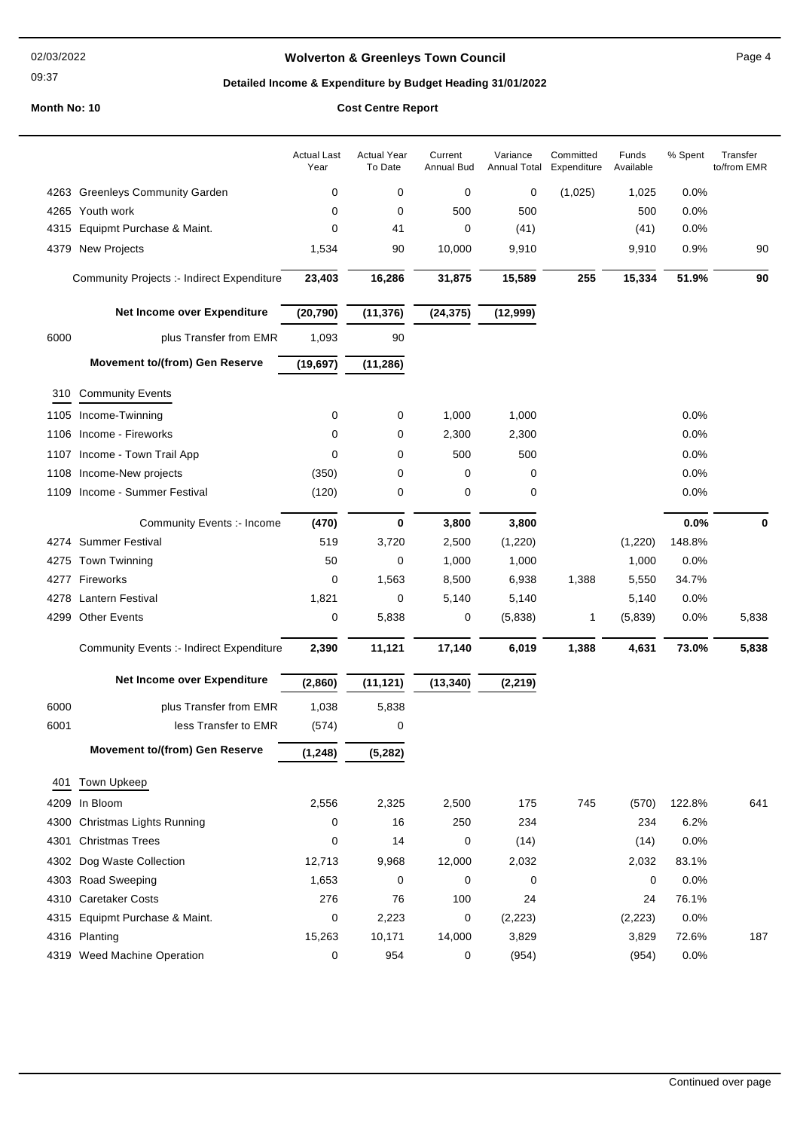### 02/03/2022

09:37

# **Wolverton & Greenleys Town Council** Magnetic Page 4

## **Detailed Income & Expenditure by Budget Heading 31/01/2022**

|      |                                                 | <b>Actual Last</b><br>Year | <b>Actual Year</b><br>To Date | Current<br><b>Annual Bud</b> | Variance<br>Annual Total | Committed<br>Expenditure | Funds<br>Available | % Spent | Transfer<br>to/from EMR |
|------|-------------------------------------------------|----------------------------|-------------------------------|------------------------------|--------------------------|--------------------------|--------------------|---------|-------------------------|
|      | 4263 Greenleys Community Garden                 | 0                          | 0                             | 0                            | 0                        | (1,025)                  | 1,025              | 0.0%    |                         |
|      | 4265 Youth work                                 | 0                          | 0                             | 500                          | 500                      |                          | 500                | 0.0%    |                         |
| 4315 | Equipmt Purchase & Maint.                       | 0                          | 41                            | 0                            | (41)                     |                          | (41)               | 0.0%    |                         |
| 4379 | <b>New Projects</b>                             | 1,534                      | 90                            | 10,000                       | 9,910                    |                          | 9,910              | 0.9%    | 90                      |
|      | Community Projects :- Indirect Expenditure      | 23,403                     | 16,286                        | 31,875                       | 15,589                   | 255                      | 15,334             | 51.9%   | 90                      |
|      | Net Income over Expenditure                     | (20, 790)                  | (11, 376)                     | (24, 375)                    | (12,999)                 |                          |                    |         |                         |
| 6000 | plus Transfer from EMR                          | 1,093                      | 90                            |                              |                          |                          |                    |         |                         |
|      | <b>Movement to/(from) Gen Reserve</b>           | (19, 697)                  | (11, 286)                     |                              |                          |                          |                    |         |                         |
| 310  | <b>Community Events</b>                         |                            |                               |                              |                          |                          |                    |         |                         |
| 1105 | Income-Twinning                                 | 0                          | 0                             | 1,000                        | 1,000                    |                          |                    | 0.0%    |                         |
| 1106 | Income - Fireworks                              | 0                          | 0                             | 2,300                        | 2,300                    |                          |                    | 0.0%    |                         |
| 1107 | Income - Town Trail App                         | 0                          | 0                             | 500                          | 500                      |                          |                    | 0.0%    |                         |
| 1108 | Income-New projects                             | (350)                      | 0                             | 0                            | 0                        |                          |                    | 0.0%    |                         |
| 1109 | Income - Summer Festival                        | (120)                      | 0                             | 0                            | 0                        |                          |                    | 0.0%    |                         |
|      | Community Events :- Income                      | (470)                      | 0                             | 3,800                        | 3,800                    |                          |                    | 0.0%    | 0                       |
|      | 4274 Summer Festival                            | 519                        | 3,720                         | 2,500                        | (1,220)                  |                          | (1,220)            | 148.8%  |                         |
| 4275 | Town Twinning                                   | 50                         | 0                             | 1,000                        | 1,000                    |                          | 1,000              | 0.0%    |                         |
|      | 4277 Fireworks                                  | 0                          | 1,563                         | 8,500                        | 6,938                    | 1,388                    | 5,550              | 34.7%   |                         |
| 4278 | <b>Lantern Festival</b>                         | 1,821                      | 0                             | 5,140                        | 5,140                    |                          | 5,140              | 0.0%    |                         |
| 4299 | <b>Other Events</b>                             | 0                          | 5,838                         | 0                            | (5,838)                  | 1                        | (5,839)            | 0.0%    | 5,838                   |
|      | <b>Community Events :- Indirect Expenditure</b> | 2,390                      | 11,121                        | 17,140                       | 6,019                    | 1,388                    | 4,631              | 73.0%   | 5,838                   |
|      | Net Income over Expenditure                     | (2,860)                    | (11, 121)                     | (13, 340)                    | (2, 219)                 |                          |                    |         |                         |
| 6000 | plus Transfer from EMR                          | 1,038                      | 5,838                         |                              |                          |                          |                    |         |                         |
| 6001 | less Transfer to EMR                            | (574)                      | 0                             |                              |                          |                          |                    |         |                         |
|      | Movement to/(from) Gen Reserve                  | (1, 248)                   | (5, 282)                      |                              |                          |                          |                    |         |                         |
| 401  | Town Upkeep                                     |                            |                               |                              |                          |                          |                    |         |                         |
| 4209 | In Bloom                                        | 2,556                      | 2,325                         | 2,500                        | 175                      | 745                      | (570)              | 122.8%  | 641                     |
| 4300 | Christmas Lights Running                        | 0                          | 16                            | 250                          | 234                      |                          | 234                | 6.2%    |                         |
| 4301 | <b>Christmas Trees</b>                          | 0                          | 14                            | 0                            | (14)                     |                          | (14)               | 0.0%    |                         |
|      | 4302 Dog Waste Collection                       | 12,713                     | 9,968                         | 12,000                       | 2,032                    |                          | 2,032              | 83.1%   |                         |
|      | 4303 Road Sweeping                              | 1,653                      | 0                             | 0                            | 0                        |                          | 0                  | 0.0%    |                         |
|      | 4310 Caretaker Costs                            | 276                        | 76                            | 100                          | 24                       |                          | 24                 | 76.1%   |                         |
|      | 4315 Equipmt Purchase & Maint.                  | 0                          | 2,223                         | 0                            | (2, 223)                 |                          | (2, 223)           | 0.0%    |                         |
|      | 4316 Planting                                   | 15,263                     | 10,171                        | 14,000                       | 3,829                    |                          | 3,829              | 72.6%   | 187                     |
|      | 4319 Weed Machine Operation                     | 0                          | 954                           | 0                            | (954)                    |                          | (954)              | 0.0%    |                         |